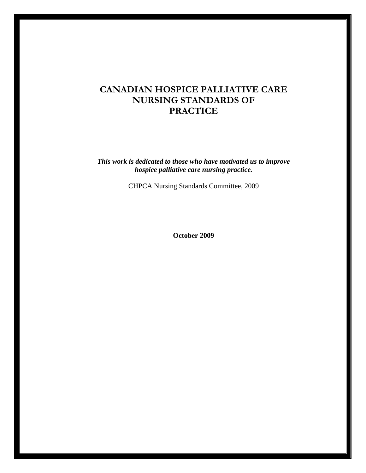# **CANADIAN HOSPICE PALLIATIVE CARE NURSING STANDARDS OF PRACTICE**

*This work is dedicated to those who have motivated us to improve hospice palliative care nursing practice.* 

CHPCA Nursing Standards Committee, 2009

**October 2009**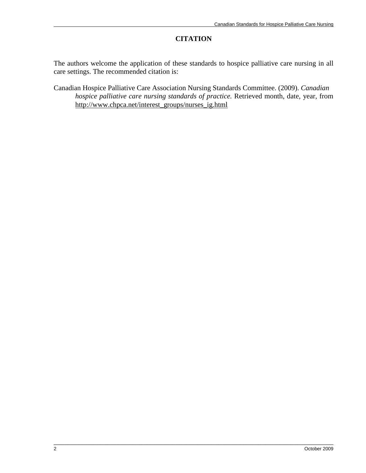#### **CITATION**

The authors welcome the application of these standards to hospice palliative care nursing in all care settings. The recommended citation is:

Canadian Hospice Palliative Care Association Nursing Standards Committee. (2009). *Canadian hospice palliative care nursing standards of practice.* Retrieved month, date, year, from http://www.chpca.net/interest\_groups/nurses\_ig.html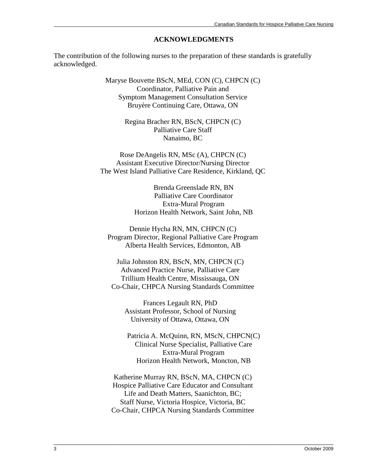#### **ACKNOWLEDGMENTS**

The contribution of the following nurses to the preparation of these standards is gratefully acknowledged.

> Maryse Bouvette BScN, MEd, CON (C), CHPCN (C) Coordinator, Palliative Pain and Symptom Management Consultation Service Bruyère Continuing Care, Ottawa, ON

> > Regina Bracher RN, BScN, CHPCN (C) Palliative Care Staff Nanaimo, BC

Rose DeAngelis RN, MSc (A), CHPCN (C) Assistant Executive Director/Nursing Director The West Island Palliative Care Residence, Kirkland, QC

> Brenda Greenslade RN, BN Palliative Care Coordinator Extra-Mural Program Horizon Health Network, Saint John, NB

Dennie Hycha RN, MN, CHPCN (C) Program Director, Regional Palliative Care Program Alberta Health Services, Edmonton, AB

Julia Johnston RN, BScN, MN, CHPCN (C) Advanced Practice Nurse, Palliative Care Trillium Health Centre, Mississauga, ON Co-Chair, CHPCA Nursing Standards Committee

Frances Legault RN, PhD Assistant Professor, School of Nursing University of Ottawa, Ottawa, ON

Patricia A. McQuinn, RN, MScN, CHPCN(C) Clinical Nurse Specialist, Palliative Care Extra-Mural Program Horizon Health Network, Moncton, NB

Katherine Murray RN, BScN, MA, CHPCN (C) Hospice Palliative Care Educator and Consultant Life and Death Matters, Saanichton, BC; Staff Nurse, Victoria Hospice, Victoria, BC Co-Chair, CHPCA Nursing Standards Committee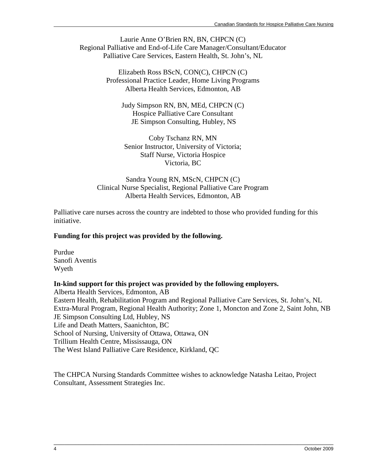Laurie Anne O'Brien RN, BN, CHPCN (C) Regional Palliative and End-of-Life Care Manager/Consultant/Educator Palliative Care Services, Eastern Health, St. John's, NL

> Elizabeth Ross BScN, CON(C), CHPCN (C) Professional Practice Leader, Home Living Programs Alberta Health Services, Edmonton, AB

Judy Simpson RN, BN, MEd, CHPCN (C) Hospice Palliative Care Consultant JE Simpson Consulting, Hubley, NS

Coby Tschanz RN, MN Senior Instructor, University of Victoria; Staff Nurse, Victoria Hospice Victoria, BC

Sandra Young RN, MScN, CHPCN (C) Clinical Nurse Specialist, Regional Palliative Care Program Alberta Health Services, Edmonton, AB

Palliative care nurses across the country are indebted to those who provided funding for this initiative.

### **Funding for this project was provided by the following.**

Purdue Sanofi Aventis Wyeth

### **In-kind support for this project was provided by the following employers.**

Alberta Health Services, Edmonton, AB Eastern Health, Rehabilitation Program and Regional Palliative Care Services, St. John's, NL Extra-Mural Program, Regional Health Authority; Zone 1, Moncton and Zone 2, Saint John, NB JE Simpson Consulting Ltd, Hubley, NS Life and Death Matters, Saanichton, BC School of Nursing, University of Ottawa, Ottawa, ON Trillium Health Centre, Mississauga, ON The West Island Palliative Care Residence, Kirkland, QC

The CHPCA Nursing Standards Committee wishes to acknowledge Natasha Leitao, Project Consultant, Assessment Strategies Inc.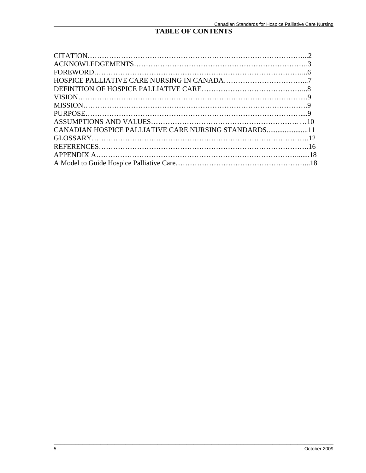### **TABLE OF CONTENTS**

| CANADIAN HOSPICE PALLIATIVE CARE NURSING STANDARDS11 |  |
|------------------------------------------------------|--|
|                                                      |  |
|                                                      |  |
|                                                      |  |
|                                                      |  |
|                                                      |  |

\_\_\_\_\_\_\_\_\_\_\_\_\_\_\_\_\_\_\_\_\_\_\_\_\_\_\_\_\_\_\_\_\_\_\_\_\_\_\_\_\_\_\_\_\_\_\_\_\_\_\_\_\_\_\_\_\_\_\_\_\_\_\_\_\_\_\_\_\_\_\_\_\_\_\_\_\_\_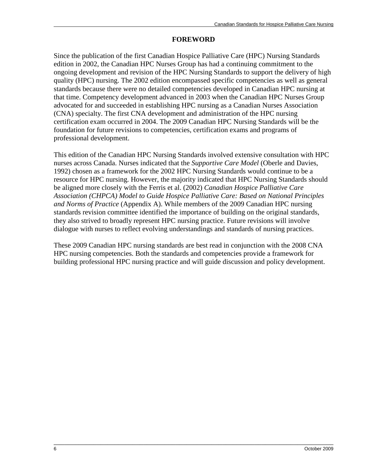### **FOREWORD**

Since the publication of the first Canadian Hospice Palliative Care (HPC) Nursing Standards edition in 2002, the Canadian HPC Nurses Group has had a continuing commitment to the ongoing development and revision of the HPC Nursing Standards to support the delivery of high quality (HPC) nursing. The 2002 edition encompassed specific competencies as well as general standards because there were no detailed competencies developed in Canadian HPC nursing at that time. Competency development advanced in 2003 when the Canadian HPC Nurses Group advocated for and succeeded in establishing HPC nursing as a Canadian Nurses Association (CNA) specialty. The first CNA development and administration of the HPC nursing certification exam occurred in 2004. The 2009 Canadian HPC Nursing Standards will be the foundation for future revisions to competencies, certification exams and programs of professional development.

This edition of the Canadian HPC Nursing Standards involved extensive consultation with HPC nurses across Canada. Nurses indicated that the *Supportive Care Model* (Oberle and Davies, 1992) chosen as a framework for the 2002 HPC Nursing Standards would continue to be a resource for HPC nursing. However, the majority indicated that HPC Nursing Standards should be aligned more closely with the Ferris et al. (2002) *Canadian Hospice Palliative Care Association (CHPCA) Model to Guide Hospice Palliative Care: Based on National Principles and Norms of Practice* (Appendix A). While members of the 2009 Canadian HPC nursing standards revision committee identified the importance of building on the original standards, they also strived to broadly represent HPC nursing practice. Future revisions will involve dialogue with nurses to reflect evolving understandings and standards of nursing practices.

These 2009 Canadian HPC nursing standards are best read in conjunction with the 2008 CNA HPC nursing competencies. Both the standards and competencies provide a framework for building professional HPC nursing practice and will guide discussion and policy development.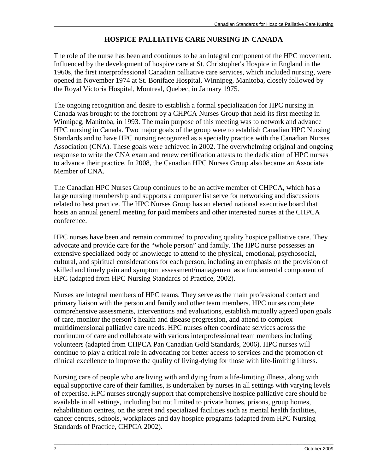## **HOSPICE PALLIATIVE CARE NURSING IN CANADA**

The role of the nurse has been and continues to be an integral component of the HPC movement. Influenced by the development of hospice care at St. Christopher's Hospice in England in the 1960s, the first interprofessional Canadian palliative care services, which included nursing, were opened in November 1974 at St. Boniface Hospital, Winnipeg, Manitoba, closely followed by the Royal Victoria Hospital, Montreal, Quebec, in January 1975.

The ongoing recognition and desire to establish a formal specialization for HPC nursing in Canada was brought to the forefront by a CHPCA Nurses Group that held its first meeting in Winnipeg, Manitoba, in 1993. The main purpose of this meeting was to network and advance HPC nursing in Canada. Two major goals of the group were to establish Canadian HPC Nursing Standards and to have HPC nursing recognized as a specialty practice with the Canadian Nurses Association (CNA). These goals were achieved in 2002. The overwhelming original and ongoing response to write the CNA exam and renew certification attests to the dedication of HPC nurses to advance their practice. In 2008, the Canadian HPC Nurses Group also became an Associate Member of CNA.

The Canadian HPC Nurses Group continues to be an active member of CHPCA, which has a large nursing membership and supports a computer list serve for networking and discussions related to best practice. The HPC Nurses Group has an elected national executive board that hosts an annual general meeting for paid members and other interested nurses at the CHPCA conference.

HPC nurses have been and remain committed to providing quality hospice palliative care. They advocate and provide care for the "whole person" and family. The HPC nurse possesses an extensive specialized body of knowledge to attend to the physical, emotional, psychosocial, cultural, and spiritual considerations for each person, including an emphasis on the provision of skilled and timely pain and symptom assessment/management as a fundamental component of HPC (adapted from HPC Nursing Standards of Practice, 2002).

Nurses are integral members of HPC teams. They serve as the main professional contact and primary liaison with the person and family and other team members. HPC nurses complete comprehensive assessments, interventions and evaluations, establish mutually agreed upon goals of care, monitor the person's health and disease progression, and attend to complex multidimensional palliative care needs. HPC nurses often coordinate services across the continuum of care and collaborate with various interprofessional team members including volunteers (adapted from CHPCA Pan Canadian Gold Standards, 2006). HPC nurses will continue to play a critical role in advocating for better access to services and the promotion of clinical excellence to improve the quality of living-dying for those with life-limiting illness.

Nursing care of people who are living with and dying from a life-limiting illness, along with equal supportive care of their families, is undertaken by nurses in all settings with varying levels of expertise. HPC nurses strongly support that comprehensive hospice palliative care should be available in all settings, including but not limited to private homes, prisons, group homes, rehabilitation centres, on the street and specialized facilities such as mental health facilities, cancer centres, schools, workplaces and day hospice programs (adapted from HPC Nursing Standards of Practice, CHPCA 2002).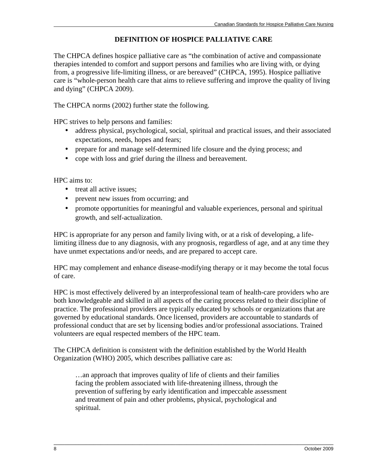### **DEFINITION OF HOSPICE PALLIATIVE CARE**

The CHPCA defines hospice palliative care as "the combination of active and compassionate therapies intended to comfort and support persons and families who are living with, or dying from, a progressive life-limiting illness, or are bereaved" (CHPCA, 1995). Hospice palliative care is "whole-person health care that aims to relieve suffering and improve the quality of living and dying" (CHPCA 2009).

The CHPCA norms (2002) further state the following.

HPC strives to help persons and families:

- address physical, psychological, social, spiritual and practical issues, and their associated expectations, needs, hopes and fears;
- prepare for and manage self-determined life closure and the dying process; and
- cope with loss and grief during the illness and bereavement.

HPC aims to:

- treat all active issues:
- prevent new issues from occurring; and
- promote opportunities for meaningful and valuable experiences, personal and spiritual growth, and self-actualization.

HPC is appropriate for any person and family living with, or at a risk of developing, a lifelimiting illness due to any diagnosis, with any prognosis, regardless of age, and at any time they have unmet expectations and/or needs, and are prepared to accept care.

HPC may complement and enhance disease-modifying therapy or it may become the total focus of care.

HPC is most effectively delivered by an interprofessional team of health-care providers who are both knowledgeable and skilled in all aspects of the caring process related to their discipline of practice. The professional providers are typically educated by schools or organizations that are governed by educational standards. Once licensed, providers are accountable to standards of professional conduct that are set by licensing bodies and/or professional associations. Trained volunteers are equal respected members of the HPC team.

The CHPCA definition is consistent with the definition established by the World Health Organization (WHO) 2005, which describes palliative care as:

…an approach that improves quality of life of clients and their families facing the problem associated with life-threatening illness, through the prevention of suffering by early identification and impeccable assessment and treatment of pain and other problems, physical, psychological and spiritual.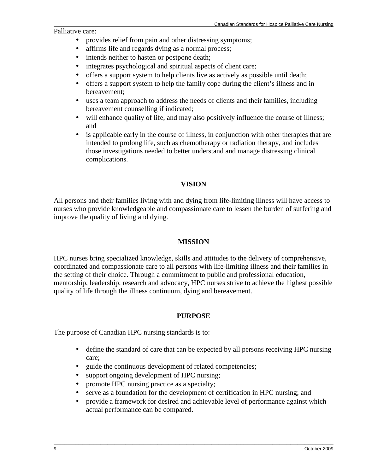Palliative care:

- provides relief from pain and other distressing symptoms;
- affirms life and regards dying as a normal process;
- intends neither to hasten or postpone death;
- integrates psychological and spiritual aspects of client care;
- offers a support system to help clients live as actively as possible until death;
- offers a support system to help the family cope during the client's illness and in bereavement;
- uses a team approach to address the needs of clients and their families, including bereavement counselling if indicated;
- will enhance quality of life, and may also positively influence the course of illness; and
- is applicable early in the course of illness, in conjunction with other therapies that are intended to prolong life, such as chemotherapy or radiation therapy, and includes those investigations needed to better understand and manage distressing clinical complications.

### **VISION**

All persons and their families living with and dying from life-limiting illness will have access to nurses who provide knowledgeable and compassionate care to lessen the burden of suffering and improve the quality of living and dying.

### **MISSION**

HPC nurses bring specialized knowledge, skills and attitudes to the delivery of comprehensive, coordinated and compassionate care to all persons with life-limiting illness and their families in the setting of their choice. Through a commitment to public and professional education, mentorship, leadership, research and advocacy, HPC nurses strive to achieve the highest possible quality of life through the illness continuum, dying and bereavement.

### **PURPOSE**

The purpose of Canadian HPC nursing standards is to:

- define the standard of care that can be expected by all persons receiving HPC nursing care;
- guide the continuous development of related competencies;
- support ongoing development of HPC nursing;
- promote HPC nursing practice as a specialty;
- serve as a foundation for the development of certification in HPC nursing; and
- provide a framework for desired and achievable level of performance against which actual performance can be compared.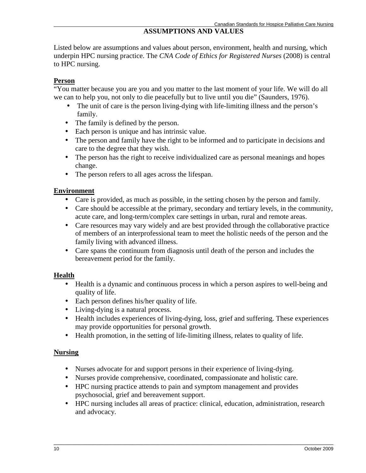## **ASSUMPTIONS AND VALUES**

Listed below are assumptions and values about person, environment, health and nursing, which underpin HPC nursing practice. The *CNA Code of Ethics for Registered Nurses* (2008) is central to HPC nursing.

### **Person**

"You matter because you are you and you matter to the last moment of your life. We will do all we can to help you, not only to die peacefully but to live until you die" (Saunders, 1976).

- The unit of care is the person living-dying with life-limiting illness and the person's family.
- The family is defined by the person.
- Each person is unique and has intrinsic value.
- The person and family have the right to be informed and to participate in decisions and care to the degree that they wish.
- The person has the right to receive individualized care as personal meanings and hopes change.
- The person refers to all ages across the lifespan.

### **Environment**

- Care is provided, as much as possible, in the setting chosen by the person and family.
- Care should be accessible at the primary, secondary and tertiary levels, in the community, acute care, and long-term/complex care settings in urban, rural and remote areas.
- Care resources may vary widely and are best provided through the collaborative practice of members of an interprofessional team to meet the holistic needs of the person and the family living with advanced illness.
- Care spans the continuum from diagnosis until death of the person and includes the bereavement period for the family.

### **Health**

- Health is a dynamic and continuous process in which a person aspires to well-being and quality of life.
- Each person defines his/her quality of life.
- Living-dying is a natural process.
- Health includes experiences of living-dying, loss, grief and suffering. These experiences may provide opportunities for personal growth.
- Health promotion, in the setting of life-limiting illness, relates to quality of life.

## **Nursing**

- Nurses advocate for and support persons in their experience of living-dying.
- Nurses provide comprehensive, coordinated, compassionate and holistic care.
- HPC nursing practice attends to pain and symptom management and provides psychosocial, grief and bereavement support.
- HPC nursing includes all areas of practice: clinical, education, administration, research and advocacy.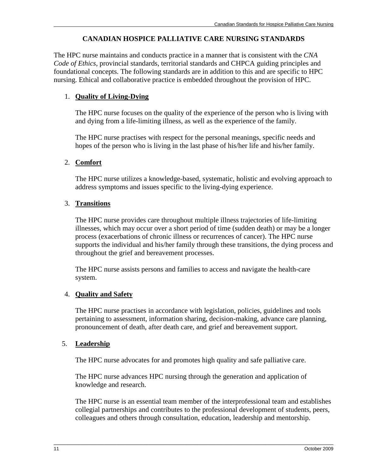### **CANADIAN HOSPICE PALLIATIVE CARE NURSING STANDARDS**

The HPC nurse maintains and conducts practice in a manner that is consistent with the *CNA Code of Ethics*, provincial standards, territorial standards and CHPCA guiding principles and foundational concepts. The following standards are in addition to this and are specific to HPC nursing. Ethical and collaborative practice is embedded throughout the provision of HPC.

### 1. **Quality of Living-Dying**

The HPC nurse focuses on the quality of the experience of the person who is living with and dying from a life-limiting illness, as well as the experience of the family.

The HPC nurse practises with respect for the personal meanings, specific needs and hopes of the person who is living in the last phase of his/her life and his/her family.

### 2. **Comfort**

The HPC nurse utilizes a knowledge-based, systematic, holistic and evolving approach to address symptoms and issues specific to the living-dying experience.

### 3. **Transitions**

The HPC nurse provides care throughout multiple illness trajectories of life-limiting illnesses, which may occur over a short period of time (sudden death) or may be a longer process (exacerbations of chronic illness or recurrences of cancer). The HPC nurse supports the individual and his/her family through these transitions, the dying process and throughout the grief and bereavement processes.

The HPC nurse assists persons and families to access and navigate the health-care system.

### 4. **Quality and Safety**

The HPC nurse practises in accordance with legislation, policies, guidelines and tools pertaining to assessment, information sharing, decision-making, advance care planning, pronouncement of death, after death care, and grief and bereavement support.

### 5. **Leadership**

The HPC nurse advocates for and promotes high quality and safe palliative care.

The HPC nurse advances HPC nursing through the generation and application of knowledge and research.

The HPC nurse is an essential team member of the interprofessional team and establishes collegial partnerships and contributes to the professional development of students, peers, colleagues and others through consultation, education, leadership and mentorship.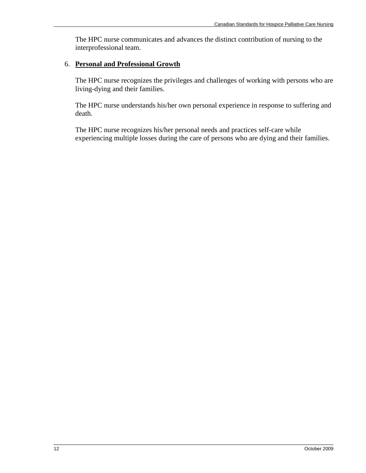The HPC nurse communicates and advances the distinct contribution of nursing to the interprofessional team.

### 6. **Personal and Professional Growth**

The HPC nurse recognizes the privileges and challenges of working with persons who are living-dying and their families.

The HPC nurse understands his/her own personal experience in response to suffering and death.

The HPC nurse recognizes his/her personal needs and practices self-care while experiencing multiple losses during the care of persons who are dying and their families.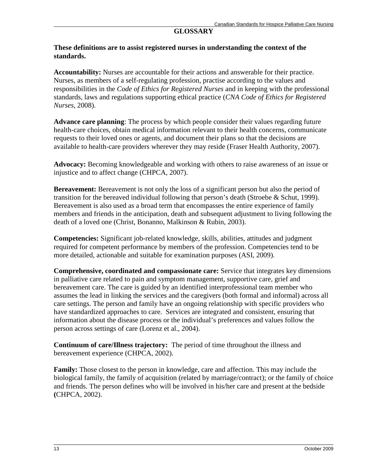### **GLOSSARY**

#### **These definitions are to assist registered nurses in understanding the context of the standards.**

**Accountability:** Nurses are accountable for their actions and answerable for their practice. Nurses, as members of a self-regulating profession, practise according to the values and responsibilities in the *Code of Ethics for Registered Nurses* and in keeping with the professional standards, laws and regulations supporting ethical practice (*CNA Code of Ethics for Registered Nurses*, 2008).

**Advance care planning**: The process by which people consider their values regarding future health-care choices, obtain medical information relevant to their health concerns, communicate requests to their loved ones or agents, and document their plans so that the decisions are available to health-care providers wherever they may reside (Fraser Health Authority, 2007).

**Advocacy:** Becoming knowledgeable and working with others to raise awareness of an issue or injustice and to affect change (CHPCA, 2007).

**Bereavement:** Bereavement is not only the loss of a significant person but also the period of transition for the bereaved individual following that person's death (Stroebe  $&$  Schut, 1999). Bereavement is also used as a broad term that encompasses the entire experience of family members and friends in the anticipation, death and subsequent adjustment to living following the death of a loved one (Christ, Bonanno, Malkinson & Rubin, 2003).

**Competencies:** Significant job-related knowledge, skills, abilities, attitudes and judgment required for competent performance by members of the profession. Competencies tend to be more detailed, actionable and suitable for examination purposes (ASI, 2009).

**Comprehensive, coordinated and compassionate care:** Service that integrates key dimensions in palliative care related to pain and symptom management, supportive care, grief and bereavement care. The care is guided by an identified interprofessional team member who assumes the lead in linking the services and the caregivers (both formal and informal) across all care settings. The person and family have an ongoing relationship with specific providers who have standardized approaches to care. Services are integrated and consistent, ensuring that information about the disease process or the individual's preferences and values follow the person across settings of care (Lorenz et al., 2004).

**Continuum of care/Illness trajectory:** The period of time throughout the illness and bereavement experience (CHPCA, 2002).

**Family:** Those closest to the person in knowledge, care and affection. This may include the biological family, the family of acquisition (related by marriage/contract); or the family of choice and friends. The person defines who will be involved in his/her care and present at the bedside **(**CHPCA, 2002).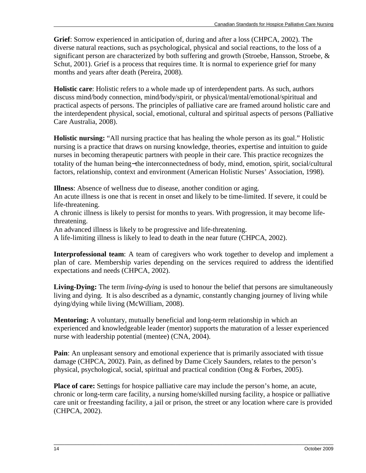**Grief**: Sorrow experienced in anticipation of, during and after a loss (CHPCA, 2002). The diverse natural reactions, such as psychological, physical and social reactions, to the loss of a significant person are characterized by both suffering and growth (Stroebe, Hansson, Stroebe, & Schut, 2001). Grief is a process that requires time. It is normal to experience grief for many months and years after death (Pereira, 2008).

**Holistic care**: Holistic refers to a whole made up of interdependent parts. As such, authors discuss mind/body connection, mind/body/spirit, or physical/mental/emotional/spiritual and practical aspects of persons. The principles of palliative care are framed around holistic care and the interdependent physical, social, emotional, cultural and spiritual aspects of persons (Palliative Care Australia, 2008).

**Holistic nursing:** "All nursing practice that has healing the whole person as its goal." Holistic nursing is a practice that draws on nursing knowledge, theories, expertise and intuition to guide nurses in becoming therapeutic partners with people in their care. This practice recognizes the totality of the human being−the interconnectedness of body, mind, emotion, spirit, social/cultural factors, relationship, context and environment (American Holistic Nurses' Association, 1998).

**Illness**: Absence of wellness due to disease, another condition or aging.

An acute illness is one that is recent in onset and likely to be time-limited. If severe, it could be life-threatening.

A chronic illness is likely to persist for months to years. With progression, it may become lifethreatening.

An advanced illness is likely to be progressive and life-threatening.

A life-limiting illness is likely to lead to death in the near future (CHPCA, 2002).

**Interprofessional team**: A team of caregivers who work together to develop and implement a plan of care. Membership varies depending on the services required to address the identified expectations and needs (CHPCA, 2002).

**Living-Dying:** The term *living-dying* is used to honour the belief that persons are simultaneously living and dying. It is also described as a dynamic, constantly changing journey of living while dying/dying while living (McWilliam, 2008).

**Mentoring:** A voluntary, mutually beneficial and long-term relationship in which an experienced and knowledgeable leader (mentor) supports the maturation of a lesser experienced nurse with leadership potential (mentee) (CNA, 2004).

**Pain**: An unpleasant sensory and emotional experience that is primarily associated with tissue damage (CHPCA, 2002). Pain, as defined by Dame Cicely Saunders, relates to the person's physical, psychological, social, spiritual and practical condition (Ong & Forbes, 2005).

**Place of care:** Settings for hospice palliative care may include the person's home, an acute, chronic or long-term care facility, a nursing home/skilled nursing facility, a hospice or palliative care unit or freestanding facility, a jail or prison, the street or any location where care is provided (CHPCA, 2002).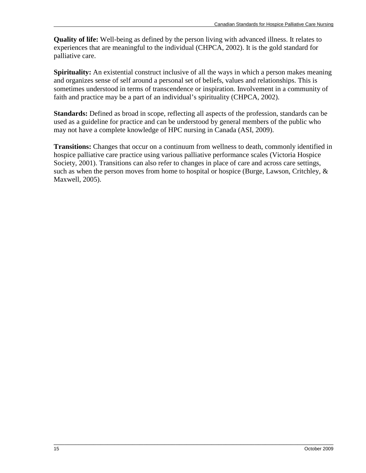**Quality of life:** Well-being as defined by the person living with advanced illness. It relates to experiences that are meaningful to the individual (CHPCA, 2002). It is the gold standard for palliative care.

**Spirituality:** An existential construct inclusive of all the ways in which a person makes meaning and organizes sense of self around a personal set of beliefs, values and relationships. This is sometimes understood in terms of transcendence or inspiration. Involvement in a community of faith and practice may be a part of an individual's spirituality (CHPCA, 2002).

**Standards:** Defined as broad in scope, reflecting all aspects of the profession, standards can be used as a guideline for practice and can be understood by general members of the public who may not have a complete knowledge of HPC nursing in Canada (ASI, 2009).

**Transitions:** Changes that occur on a continuum from wellness to death, commonly identified in hospice palliative care practice using various palliative performance scales (Victoria Hospice Society, 2001). Transitions can also refer to changes in place of care and across care settings, such as when the person moves from home to hospital or hospice (Burge, Lawson, Critchley,  $\&$ Maxwell, 2005).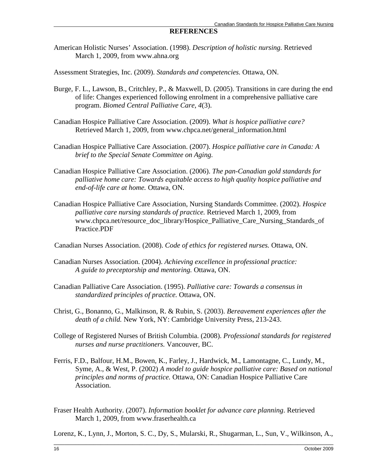#### **REFERENCES**

American Holistic Nurses' Association. (1998). *Description of holistic nursing.* Retrieved March 1, 2009, from www.ahna.org

Assessment Strategies, Inc. (2009). *Standards and competencies.* Ottawa, ON.

- Burge, F. L., Lawson, B., Critchley, P., & Maxwell, D. (2005). Transitions in care during the end of life: Changes experienced following enrolment in a comprehensive palliative care program. *Biomed Central Palliative Care, 4*(3).
- Canadian Hospice Palliative Care Association. (2009). *What is hospice palliative care?* Retrieved March 1, 2009, from www.chpca.net/general\_information.html
- Canadian Hospice Palliative Care Association. (2007). *Hospice palliative care in Canada: A brief to the Special Senate Committee on Aging.*
- Canadian Hospice Palliative Care Association. (2006). *The pan-Canadian gold standards for palliative home care: Towards equitable access to high quality hospice palliative and end-of-life care at home.* Ottawa, ON.
- Canadian Hospice Palliative Care Association, Nursing Standards Committee. (2002). *Hospice palliative care nursing standards of practice.* Retrieved March 1, 2009, from www.chpca.net/resource\_doc\_library/Hospice\_Palliative\_Care\_Nursing\_Standards\_of Practice.PDF

Canadian Nurses Association. (2008). *Code of ethics for registered nurses.* Ottawa, ON.

- Canadian Nurses Association. (2004). *Achieving excellence in professional practice: A guide to preceptorship and mentoring.* Ottawa, ON.
- Canadian Palliative Care Association. (1995). *Palliative care: Towards a consensus in standardized principles of practice.* Ottawa, ON.
- Christ, G., Bonanno, G., Malkinson, R. & Rubin, S. (2003). *Bereavement experiences after the death of a child.* New York, NY: Cambridge University Press, 213-243.
- College of Registered Nurses of British Columbia. (2008). *Professional standards for registered nurses and nurse practitioners.* Vancouver, BC.
- Ferris, F.D., Balfour, H.M., Bowen, K., Farley, J., Hardwick, M., Lamontagne, C., Lundy, M., Syme, A., & West, P. (2002) *A model to guide hospice palliative care: Based on national principles and norms of practice.* Ottawa, ON: Canadian Hospice Palliative Care Association.
- Fraser Health Authority. (2007). *Information booklet for advance care planning*. Retrieved March 1, 2009, from www.fraserhealth.ca

\_\_\_\_\_\_\_\_\_\_\_\_\_\_\_\_\_\_\_\_\_\_\_\_\_\_\_\_\_\_\_\_\_\_\_\_\_\_\_\_\_\_\_\_\_\_\_\_\_\_\_\_\_\_\_\_\_\_\_\_\_\_\_\_\_\_\_\_\_\_\_\_\_\_\_\_\_\_ Lorenz, K., Lynn, J., Morton, S. C., Dy, S., Mularski, R., Shugarman, L., Sun, V., Wilkinson, A.,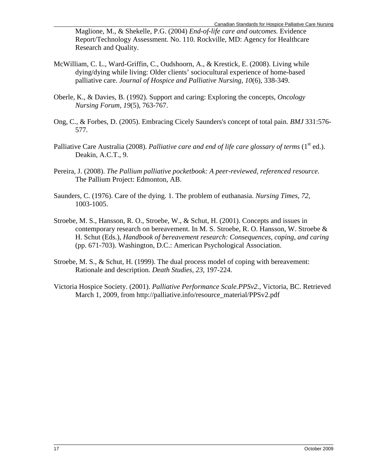Maglione, M., & Shekelle, P.G. (2004) *End-of-life care and outcomes.* Evidence Report/Technology Assessment. No. 110. Rockville, MD: Agency for Healthcare Research and Quality.

- McWilliam, C. L., Ward-Griffin, C., Oudshoorn, A., & Krestick, E. (2008). Living while dying/dying while living: Older clients' sociocultural experience of home-based palliative care. *Journal of Hospice and Palliative Nursing, 10*(6), 338-349.
- Oberle, K., & Davies, B. (1992). Support and caring: Exploring the concepts, *Oncology Nursing Forum, 19*(5), 763-767.
- Ong, C., & Forbes, D. (2005). Embracing Cicely Saunders's concept of total pain. *BMJ* 331:576- 577.
- Palliative Care Australia (2008). *Palliative care and end of life care glossary of terms* (1<sup>st</sup> ed.). Deakin, A.C.T., 9.
- Pereira, J. (2008). *The Pallium palliative pocketbook: A peer-reviewed, referenced resource.*  The Pallium Project: Edmonton, AB.
- Saunders, C. (1976). Care of the dying. 1. The problem of euthanasia. *Nursing Times, 72,*  1003-1005.
- Stroebe, M. S., Hansson, R. O., Stroebe, W., & Schut, H. (2001). Concepts and issues in contemporary research on bereavement. In M. S. Stroebe, R. O. Hansson, W. Stroebe  $\&$ H. Schut (Eds.), *Handbook of bereavement research: Consequences, coping, and caring* (pp. 671-703). Washington, D.C.: American Psychological Association.
- Stroebe, M. S., & Schut, H. (1999). The dual process model of coping with bereavement: Rationale and description. *Death Studies, 23*, 197-224.
- Victoria Hospice Society. (2001). *Palliative Performance Scale.PPSv2*., Victoria, BC. Retrieved March 1, 2009, from http://palliative.info/resource\_material/PPSv2.pdf